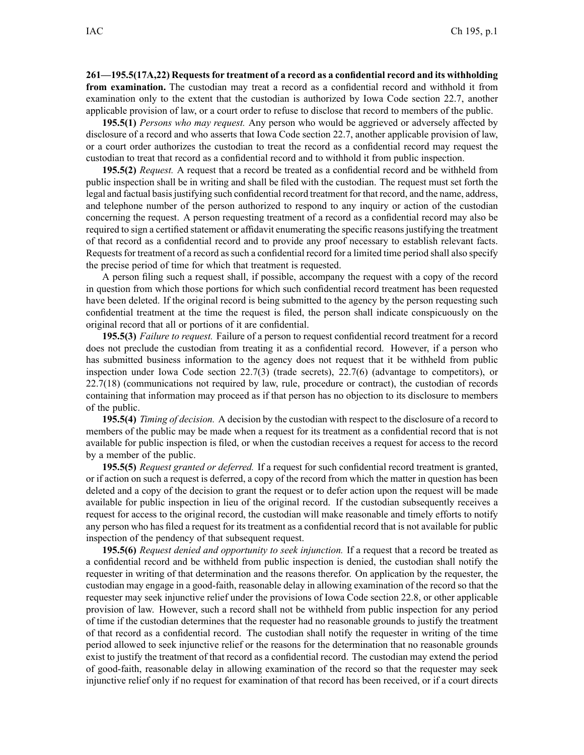**261—195.5(17A,22) Requestsfor treatment of <sup>a</sup> record as <sup>a</sup> confidential record and its withholding from examination.** The custodian may treat <sup>a</sup> record as <sup>a</sup> confidential record and withhold it from examination only to the extent that the custodian is authorized by Iowa Code section 22.7, another applicable provision of law, or <sup>a</sup> court order to refuse to disclose that record to members of the public.

**195.5(1)** *Persons who may request.* Any person who would be aggrieved or adversely affected by disclosure of <sup>a</sup> record and who asserts that Iowa Code section 22.7, another applicable provision of law, or <sup>a</sup> court order authorizes the custodian to treat the record as <sup>a</sup> confidential record may reques<sup>t</sup> the custodian to treat that record as <sup>a</sup> confidential record and to withhold it from public inspection.

**195.5(2)** *Request.* A reques<sup>t</sup> that <sup>a</sup> record be treated as <sup>a</sup> confidential record and be withheld from public inspection shall be in writing and shall be filed with the custodian. The reques<sup>t</sup> must set forth the legal and factual basis justifying such confidential record treatment for that record, and the name, address, and telephone number of the person authorized to respond to any inquiry or action of the custodian concerning the request. A person requesting treatment of <sup>a</sup> record as <sup>a</sup> confidential record may also be required to sign a certified statement or affidavit enumerating the specific reasons justifying the treatment of that record as <sup>a</sup> confidential record and to provide any proof necessary to establish relevant facts. Requests for treatment of a record as such a confidential record for a limited time period shall also specify the precise period of time for which that treatment is requested.

A person filing such <sup>a</sup> reques<sup>t</sup> shall, if possible, accompany the reques<sup>t</sup> with <sup>a</sup> copy of the record in question from which those portions for which such confidential record treatment has been requested have been deleted. If the original record is being submitted to the agency by the person requesting such confidential treatment at the time the reques<sup>t</sup> is filed, the person shall indicate conspicuously on the original record that all or portions of it are confidential.

**195.5(3)** *Failure to request.* Failure of <sup>a</sup> person to reques<sup>t</sup> confidential record treatment for <sup>a</sup> record does not preclude the custodian from treating it as <sup>a</sup> confidential record. However, if <sup>a</sup> person who has submitted business information to the agency does not reques<sup>t</sup> that it be withheld from public inspection under Iowa Code section 22.7(3) (trade secrets), 22.7(6) (advantage to competitors), or 22.7(18) (communications not required by law, rule, procedure or contract), the custodian of records containing that information may proceed as if that person has no objection to its disclosure to members of the public.

**195.5(4)** *Timing of decision.* A decision by the custodian with respec<sup>t</sup> to the disclosure of <sup>a</sup> record to members of the public may be made when <sup>a</sup> reques<sup>t</sup> for its treatment as <sup>a</sup> confidential record that is not available for public inspection is filed, or when the custodian receives <sup>a</sup> reques<sup>t</sup> for access to the record by <sup>a</sup> member of the public.

**195.5(5)** *Request granted or deferred.* If <sup>a</sup> reques<sup>t</sup> for such confidential record treatment is granted, or if action on such <sup>a</sup> reques<sup>t</sup> is deferred, <sup>a</sup> copy of the record from which the matter in question has been deleted and <sup>a</sup> copy of the decision to gran<sup>t</sup> the reques<sup>t</sup> or to defer action upon the reques<sup>t</sup> will be made available for public inspection in lieu of the original record. If the custodian subsequently receives <sup>a</sup> reques<sup>t</sup> for access to the original record, the custodian will make reasonable and timely efforts to notify any person who has filed <sup>a</sup> reques<sup>t</sup> for its treatment as <sup>a</sup> confidential record that is not available for public inspection of the pendency of that subsequent request.

**195.5(6)** *Request denied and opportunity to seek injunction.* If <sup>a</sup> reques<sup>t</sup> that <sup>a</sup> record be treated as <sup>a</sup> confidential record and be withheld from public inspection is denied, the custodian shall notify the requester in writing of that determination and the reasons therefor. On application by the requester, the custodian may engage in <sup>a</sup> good-faith, reasonable delay in allowing examination of the record so that the requester may seek injunctive relief under the provisions of Iowa Code section 22.8, or other applicable provision of law. However, such <sup>a</sup> record shall not be withheld from public inspection for any period of time if the custodian determines that the requester had no reasonable grounds to justify the treatment of that record as <sup>a</sup> confidential record. The custodian shall notify the requester in writing of the time period allowed to seek injunctive relief or the reasons for the determination that no reasonable grounds exist to justify the treatment of that record as <sup>a</sup> confidential record. The custodian may extend the period of good-faith, reasonable delay in allowing examination of the record so that the requester may seek injunctive relief only if no reques<sup>t</sup> for examination of that record has been received, or if <sup>a</sup> court directs